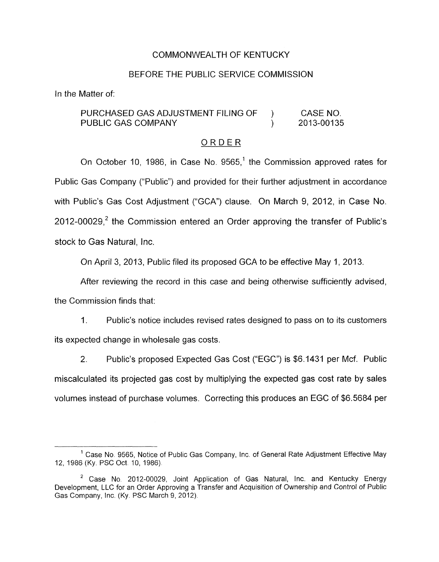### COMMONWEALTH OF KENTUCKY

#### BEFORE THE PUBLIC SERVICE COMMISSION

In the Matter of:

### PURCHASED GAS ADJUSTMENT FILING OF ) CASE NO. PUBLIC GAS COMPANY (2013-00135)

# ORDER

On October 10, 1986, in Case No. 9565,<sup>1</sup> the Commission approved rates for Public Gas Company ("Public") and provided for their further adjustment in accordance with Public's Gas Cost Adjustment ("GCA") clause. On March 9, 2012, in Case No. 2012-00029, $^2$  the Commission entered an Order approving the transfer of Public's stock *to* Gas Natural, Inc.

On April 3, 2013. Public filed its proposed GCA to be effective May 1, 2013.

After reviewing the record in this case and being otherwise sufficiently advised, the Commission finds that:

1. Public's notice includes revised rates designed to pass on to its customers its expected change in wholesale gas costs.

2. Public's proposed Expected Gas Cost ("EGC") is \$6.1431 per Mcf. Public miscalculated its projected gas cost by multiplying the expected gas cost rate by sales volumes instead of purchase volumes. Correcting this produces an EGC of \$6.5684 per

<sup>&</sup>lt;sup>1</sup> Case No. 9565, Notice of Public Gas Company, Inc. of General Rate Adjustment Effective May 12, 1986 (Ky. PSC Oct. 10, 1986).

<sup>&</sup>lt;sup>2</sup> Case No. 2012-00029, Joint Application of Gas Natural, Inc. and Kentucky Energy Development, LLC for an Order Approving a Transfer and Acquisition of Ownership and Control of Public Gas Company, Inc. (Ky. PSC March 9, 2012).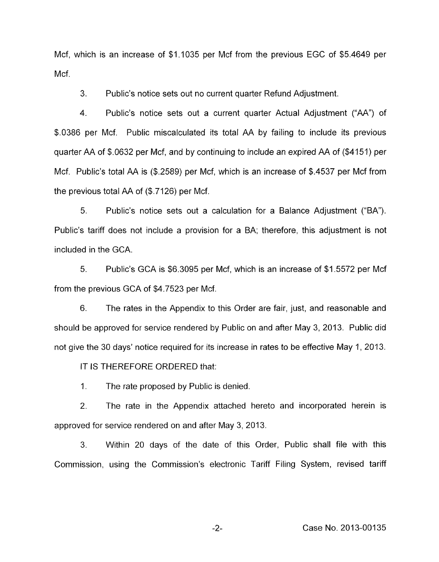Mcf, which is an increase of \$1.1035 per Mcf from the previous EGC of \$5.4649 per Mcf.

3. Public's notice sets out no current quarter Refund Adjustment.

4. Public's notice sets out a current quarter Actual Adjustment ("AA") of \$0386 per Mcf. Public miscalculated its total AA by failing to include its previous quarter AA of \$.0632 per Mcf, and by continuing to include an expired AA of (\$4151) per Mcf. Public's total AA is (\$.2589) per Mcf, which is an increase of \$.4537 per Mcf from the previous total AA of (\$.7126) per Mcf.

*5.* Public's notice sets out a calculation for a Balance Adjustment ("BA"). Public's tariff does not include a provision for a BA; therefore, this adjustment is not included in the GCA.

*5.* Public's GCA is \$6.3095 per Mcf, which is an increase of \$1.5572 per Mcf from the previous GCA of \$4.7523 per Mcf.

6. The rates in the Appendix to this Order are fair, just, and reasonable and should be approved for service rendered by Public on and after May 3, 2013. Public did not give the 30 days' notice required for its increase in rates to be effective May 1, 2013.

IT IS THEREFORE ORDERED that:

 $1<sup>1</sup>$ The rate proposed by Public is denied.

2. The rate in the Appendix attached hereto and incorporated herein is approved for service rendered on and after May 3,2013.

3. Within 20 days of the date of this Order, Public shall file with this Commission, using the Commission's electronic Tariff Filing System, revised tariff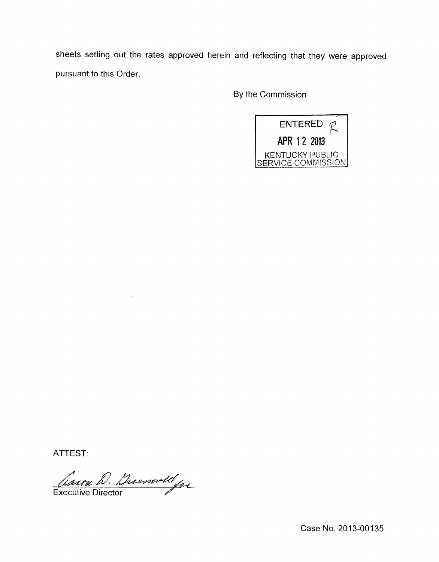sheets setting out the rates approved herein and reflecting that they were approved pursuant to this Order.

By the Commission



ATTEST:

Carra D. Buenwell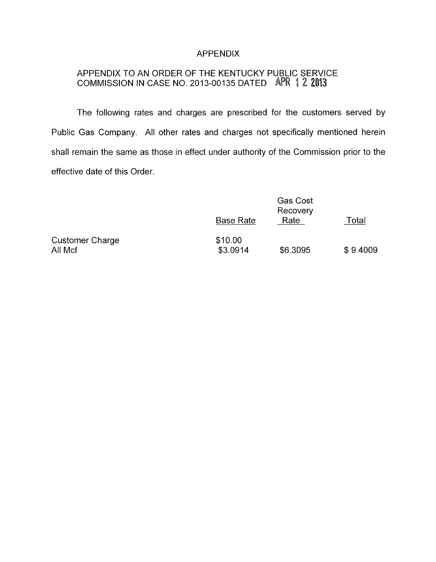### APPENDIX

## APPENDIX TO AN ORDER OF THE KENTUCKY PUBLIC SERVICE COMMISSION IN CASE NO. 2013-00135 DATED <sup>I</sup>

The following rates and charges are prescribed for the customers served by Public Gas Company. All other rates and charges not specifically mentioned herein shall remain the same as those in effect under authority of the Commission prior to the effective date of this Order.

|                                   | <b>Base Rate</b>    | <b>Gas Cost</b><br>Recovery<br>Rate | Total    |
|-----------------------------------|---------------------|-------------------------------------|----------|
| <b>Customer Charge</b><br>All Mcf | \$10.00<br>\$3.0914 | \$6.3095                            | \$9.4009 |